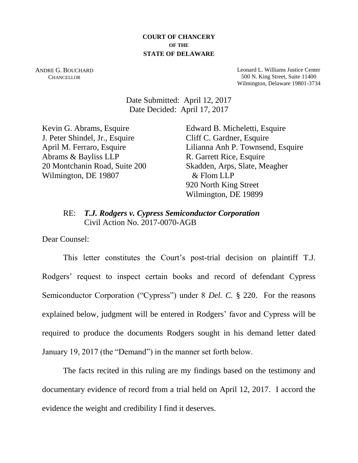#### **COURT OF CHANCERY OF THE STATE OF DELAWARE**

ANDRE G. BOUCHARD **CHANCELLOR** 

Leonard L. Williams Justice Center 500 N. King Street, Suite 11400 Wilmington, Delaware 19801-3734

Date Submitted: April 12, 2017 Date Decided: April 17, 2017

Kevin G. Abrams, Esquire J. Peter Shindel, Jr., Esquire April M. Ferraro, Esquire Abrams & Bayliss LLP 20 Montchanin Road, Suite 200 Wilmington, DE 19807

Edward B. Micheletti, Esquire Cliff C. Gardner, Esquire Lilianna Anh P. Townsend, Esquire R. Garrett Rice, Esquire Skadden, Arps, Slate, Meagher & Flom LLP 920 North King Street Wilmington, DE 19899

# RE: *T.J. Rodgers v. Cypress Semiconductor Corporation* Civil Action No. 2017-0070-AGB

Dear Counsel:

This letter constitutes the Court's post-trial decision on plaintiff T.J. Rodgers' request to inspect certain books and record of defendant Cypress Semiconductor Corporation ("Cypress") under 8 *Del. C.* § 220. For the reasons explained below, judgment will be entered in Rodgers' favor and Cypress will be required to produce the documents Rodgers sought in his demand letter dated January 19, 2017 (the "Demand") in the manner set forth below.

The facts recited in this ruling are my findings based on the testimony and documentary evidence of record from a trial held on April 12, 2017. I accord the evidence the weight and credibility I find it deserves.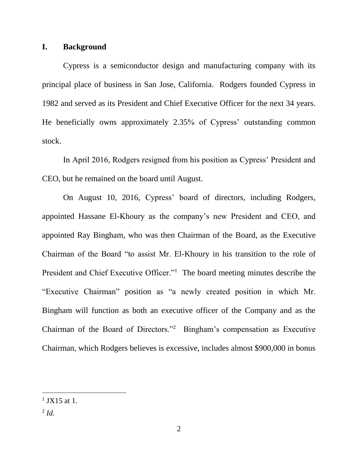## **I. Background**

Cypress is a semiconductor design and manufacturing company with its principal place of business in San Jose, California. Rodgers founded Cypress in 1982 and served as its President and Chief Executive Officer for the next 34 years. He beneficially owns approximately 2.35% of Cypress' outstanding common stock.

In April 2016, Rodgers resigned from his position as Cypress' President and CEO, but he remained on the board until August.

On August 10, 2016, Cypress' board of directors, including Rodgers, appointed Hassane El-Khoury as the company's new President and CEO, and appointed Ray Bingham, who was then Chairman of the Board, as the Executive Chairman of the Board "to assist Mr. El-Khoury in his transition to the role of President and Chief Executive Officer."<sup>1</sup> The board meeting minutes describe the "Executive Chairman" position as "a newly created position in which Mr. Bingham will function as both an executive officer of the Company and as the Chairman of the Board of Directors."<sup>2</sup> Bingham's compensation as Executive Chairman, which Rodgers believes is excessive, includes almost \$900,000 in bonus

 $1$  JX15 at 1.

<sup>2</sup> *Id.*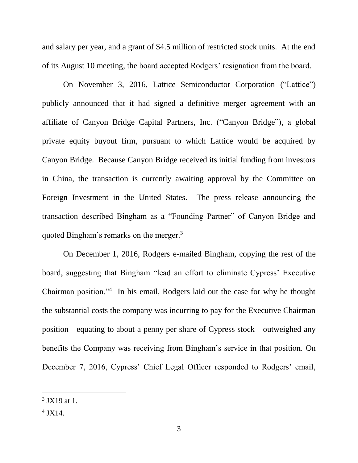and salary per year, and a grant of \$4.5 million of restricted stock units. At the end of its August 10 meeting, the board accepted Rodgers' resignation from the board.

On November 3, 2016, Lattice Semiconductor Corporation ("Lattice") publicly announced that it had signed a definitive merger agreement with an affiliate of Canyon Bridge Capital Partners, Inc. ("Canyon Bridge"), a global private equity buyout firm, pursuant to which Lattice would be acquired by Canyon Bridge. Because Canyon Bridge received its initial funding from investors in China, the transaction is currently awaiting approval by the Committee on Foreign Investment in the United States. The press release announcing the transaction described Bingham as a "Founding Partner" of Canyon Bridge and quoted Bingham's remarks on the merger.<sup>3</sup>

On December 1, 2016, Rodgers e-mailed Bingham, copying the rest of the board, suggesting that Bingham "lead an effort to eliminate Cypress' Executive Chairman position."<sup>4</sup> In his email, Rodgers laid out the case for why he thought the substantial costs the company was incurring to pay for the Executive Chairman position—equating to about a penny per share of Cypress stock—outweighed any benefits the Company was receiving from Bingham's service in that position. On December 7, 2016, Cypress' Chief Legal Officer responded to Rodgers' email,

 $3$  JX19 at 1.

<sup>4</sup> JX14.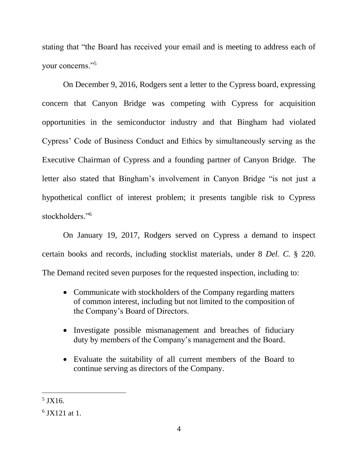stating that "the Board has received your email and is meeting to address each of your concerns."<sup>5</sup>

On December 9, 2016, Rodgers sent a letter to the Cypress board, expressing concern that Canyon Bridge was competing with Cypress for acquisition opportunities in the semiconductor industry and that Bingham had violated Cypress' Code of Business Conduct and Ethics by simultaneously serving as the Executive Chairman of Cypress and a founding partner of Canyon Bridge. The letter also stated that Bingham's involvement in Canyon Bridge "is not just a hypothetical conflict of interest problem; it presents tangible risk to Cypress stockholders."<sup>6</sup>

On January 19, 2017, Rodgers served on Cypress a demand to inspect certain books and records, including stocklist materials, under 8 *Del. C.* § 220. The Demand recited seven purposes for the requested inspection, including to:

- Communicate with stockholders of the Company regarding matters of common interest, including but not limited to the composition of the Company's Board of Directors.
- Investigate possible mismanagement and breaches of fiduciary duty by members of the Company's management and the Board.
- Evaluate the suitability of all current members of the Board to continue serving as directors of the Company.

<sup>5</sup> JX16.

<sup>6</sup> JX121 at 1.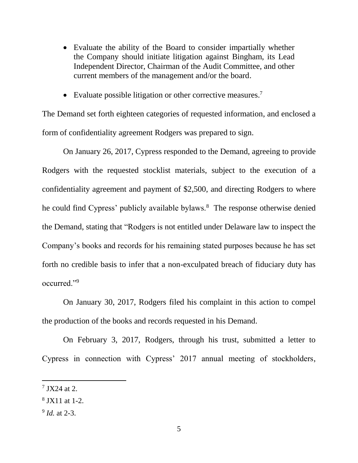- Evaluate the ability of the Board to consider impartially whether the Company should initiate litigation against Bingham, its Lead Independent Director, Chairman of the Audit Committee, and other current members of the management and/or the board.
- Evaluate possible litigation or other corrective measures.<sup>7</sup>

The Demand set forth eighteen categories of requested information, and enclosed a form of confidentiality agreement Rodgers was prepared to sign.

On January 26, 2017, Cypress responded to the Demand, agreeing to provide Rodgers with the requested stocklist materials, subject to the execution of a confidentiality agreement and payment of \$2,500, and directing Rodgers to where he could find Cypress' publicly available bylaws.<sup>8</sup> The response otherwise denied the Demand, stating that "Rodgers is not entitled under Delaware law to inspect the Company's books and records for his remaining stated purposes because he has set forth no credible basis to infer that a non-exculpated breach of fiduciary duty has occurred."<sup>9</sup>

On January 30, 2017, Rodgers filed his complaint in this action to compel the production of the books and records requested in his Demand.

On February 3, 2017, Rodgers, through his trust, submitted a letter to Cypress in connection with Cypress' 2017 annual meeting of stockholders,

9 *Id.* at 2-3.

 $7$  JX24 at 2.

<sup>8</sup> JX11 at 1-2.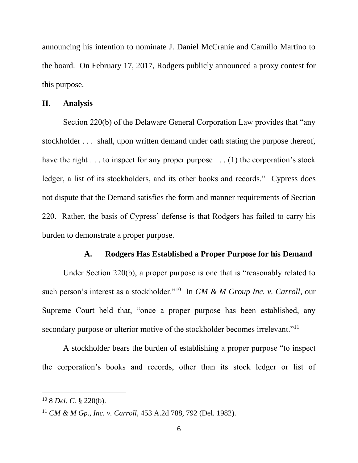announcing his intention to nominate J. Daniel McCranie and Camillo Martino to the board. On February 17, 2017, Rodgers publicly announced a proxy contest for this purpose.

#### **II. Analysis**

Section 220(b) of the Delaware General Corporation Law provides that "any stockholder . . . shall, upon written demand under oath stating the purpose thereof, have the right . . . to inspect for any proper purpose . . . (1) the corporation's stock ledger, a list of its stockholders, and its other books and records." Cypress does not dispute that the Demand satisfies the form and manner requirements of Section 220. Rather, the basis of Cypress' defense is that Rodgers has failed to carry his burden to demonstrate a proper purpose.

### **A. Rodgers Has Established a Proper Purpose for his Demand**

Under Section 220(b), a proper purpose is one that is "reasonably related to such person's interest as a stockholder."<sup>10</sup> In *GM & M Group Inc. v. Carroll*, our Supreme Court held that, "once a proper purpose has been established, any secondary purpose or ulterior motive of the stockholder becomes irrelevant."<sup>11</sup>

A stockholder bears the burden of establishing a proper purpose "to inspect the corporation's books and records, other than its stock ledger or list of

<sup>10</sup> 8 *Del. C.* § 220(b).

<sup>11</sup> *CM & M Gp., Inc. v. Carroll*, 453 A.2d 788, 792 (Del. 1982).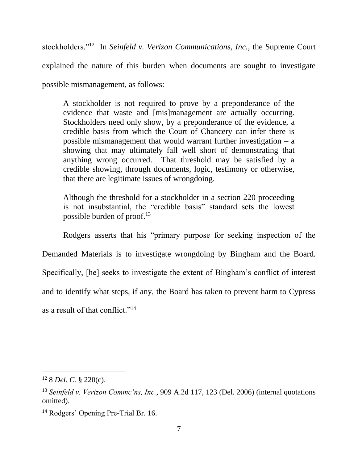stockholders."<sup>12</sup> In *Seinfeld v. Verizon Communications, Inc.*, the Supreme Court explained the nature of this burden when documents are sought to investigate possible mismanagement, as follows:

A stockholder is not required to prove by a preponderance of the evidence that waste and [mis]management are actually occurring. Stockholders need only show, by a preponderance of the evidence, a credible basis from which the Court of Chancery can infer there is possible mismanagement that would warrant further investigation – a showing that may ultimately fall well short of demonstrating that anything wrong occurred. That threshold may be satisfied by a credible showing, through documents, logic, testimony or otherwise, that there are legitimate issues of wrongdoing.

Although the threshold for a stockholder in a section 220 proceeding is not insubstantial, the "credible basis" standard sets the lowest possible burden of proof.<sup>13</sup>

Rodgers asserts that his "primary purpose for seeking inspection of the Demanded Materials is to investigate wrongdoing by Bingham and the Board. Specifically, [he] seeks to investigate the extent of Bingham's conflict of interest and to identify what steps, if any, the Board has taken to prevent harm to Cypress as a result of that conflict."<sup>14</sup>

<sup>12</sup> 8 *Del. C.* § 220(c).

<sup>13</sup> *Seinfeld v. Verizon Commc'ns, Inc.*, 909 A.2d 117, 123 (Del. 2006) (internal quotations omitted).

<sup>&</sup>lt;sup>14</sup> Rodgers' Opening Pre-Trial Br. 16.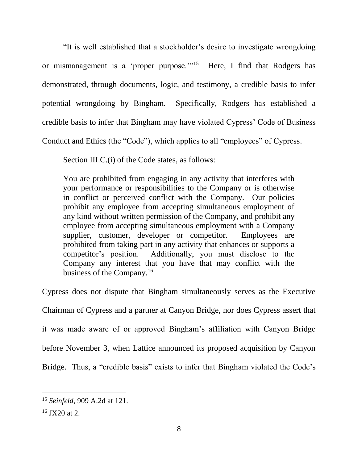"It is well established that a stockholder's desire to investigate wrongdoing or mismanagement is a 'proper purpose."<sup>15</sup> Here, I find that Rodgers has demonstrated, through documents, logic, and testimony, a credible basis to infer potential wrongdoing by Bingham. Specifically, Rodgers has established a credible basis to infer that Bingham may have violated Cypress' Code of Business Conduct and Ethics (the "Code"), which applies to all "employees" of Cypress.

Section III.C.(i) of the Code states, as follows:

You are prohibited from engaging in any activity that interferes with your performance or responsibilities to the Company or is otherwise in conflict or perceived conflict with the Company. Our policies prohibit any employee from accepting simultaneous employment of any kind without written permission of the Company, and prohibit any employee from accepting simultaneous employment with a Company supplier, customer, developer or competitor. Employees are prohibited from taking part in any activity that enhances or supports a competitor's position. Additionally, you must disclose to the Company any interest that you have that may conflict with the business of the Company.<sup>16</sup>

Cypress does not dispute that Bingham simultaneously serves as the Executive Chairman of Cypress and a partner at Canyon Bridge, nor does Cypress assert that it was made aware of or approved Bingham's affiliation with Canyon Bridge before November 3, when Lattice announced its proposed acquisition by Canyon Bridge. Thus, a "credible basis" exists to infer that Bingham violated the Code's

<sup>15</sup> *Seinfeld*, 909 A.2d at 121.

 $16$  JX20 at 2.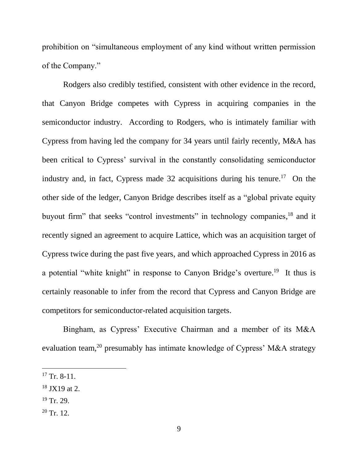prohibition on "simultaneous employment of any kind without written permission of the Company."

Rodgers also credibly testified, consistent with other evidence in the record, that Canyon Bridge competes with Cypress in acquiring companies in the semiconductor industry. According to Rodgers, who is intimately familiar with Cypress from having led the company for 34 years until fairly recently, M&A has been critical to Cypress' survival in the constantly consolidating semiconductor industry and, in fact, Cypress made 32 acquisitions during his tenure.<sup>17</sup> On the other side of the ledger, Canyon Bridge describes itself as a "global private equity buyout firm" that seeks "control investments" in technology companies,<sup>18</sup> and it recently signed an agreement to acquire Lattice, which was an acquisition target of Cypress twice during the past five years, and which approached Cypress in 2016 as a potential "white knight" in response to Canyon Bridge's overture.<sup>19</sup> It thus is certainly reasonable to infer from the record that Cypress and Canyon Bridge are competitors for semiconductor-related acquisition targets.

Bingham, as Cypress' Executive Chairman and a member of its M&A evaluation team,<sup>20</sup> presumably has intimate knowledge of Cypress' M&A strategy

- $19$  Tr. 29.
- $20$  Tr. 12.

 $17$  Tr. 8-11.

 $18$  JX19 at 2.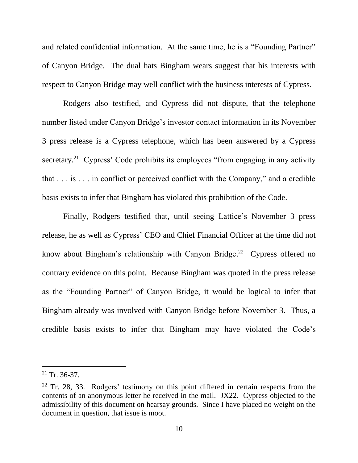and related confidential information. At the same time, he is a "Founding Partner" of Canyon Bridge. The dual hats Bingham wears suggest that his interests with respect to Canyon Bridge may well conflict with the business interests of Cypress.

Rodgers also testified, and Cypress did not dispute, that the telephone number listed under Canyon Bridge's investor contact information in its November 3 press release is a Cypress telephone, which has been answered by a Cypress secretary.<sup>21</sup> Cypress' Code prohibits its employees "from engaging in any activity that . . . is . . . in conflict or perceived conflict with the Company," and a credible basis exists to infer that Bingham has violated this prohibition of the Code.

Finally, Rodgers testified that, until seeing Lattice's November 3 press release, he as well as Cypress' CEO and Chief Financial Officer at the time did not know about Bingham's relationship with Canyon Bridge.<sup>22</sup> Cypress offered no contrary evidence on this point. Because Bingham was quoted in the press release as the "Founding Partner" of Canyon Bridge, it would be logical to infer that Bingham already was involved with Canyon Bridge before November 3. Thus, a credible basis exists to infer that Bingham may have violated the Code's

 $21$  Tr. 36-37.

 $22$  Tr. 28, 33. Rodgers' testimony on this point differed in certain respects from the contents of an anonymous letter he received in the mail. JX22. Cypress objected to the admissibility of this document on hearsay grounds. Since I have placed no weight on the document in question, that issue is moot.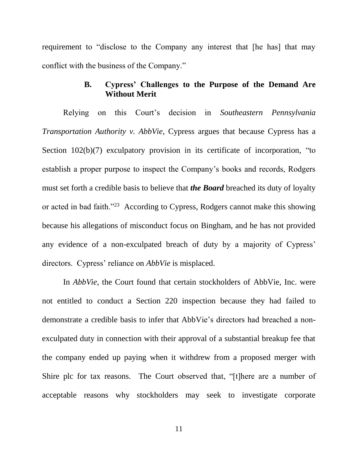requirement to "disclose to the Company any interest that [he has] that may conflict with the business of the Company."

# **B. Cypress' Challenges to the Purpose of the Demand Are Without Merit**

Relying on this Court's decision in *Southeastern Pennsylvania Transportation Authority v. AbbVie*, Cypress argues that because Cypress has a Section 102(b)(7) exculpatory provision in its certificate of incorporation, "to establish a proper purpose to inspect the Company's books and records, Rodgers must set forth a credible basis to believe that *the Board* breached its duty of loyalty or acted in bad faith."<sup>23</sup> According to Cypress, Rodgers cannot make this showing because his allegations of misconduct focus on Bingham, and he has not provided any evidence of a non-exculpated breach of duty by a majority of Cypress' directors. Cypress' reliance on *AbbVie* is misplaced.

In *AbbVie*, the Court found that certain stockholders of AbbVie, Inc. were not entitled to conduct a Section 220 inspection because they had failed to demonstrate a credible basis to infer that AbbVie's directors had breached a nonexculpated duty in connection with their approval of a substantial breakup fee that the company ended up paying when it withdrew from a proposed merger with Shire plc for tax reasons. The Court observed that, "[t]here are a number of acceptable reasons why stockholders may seek to investigate corporate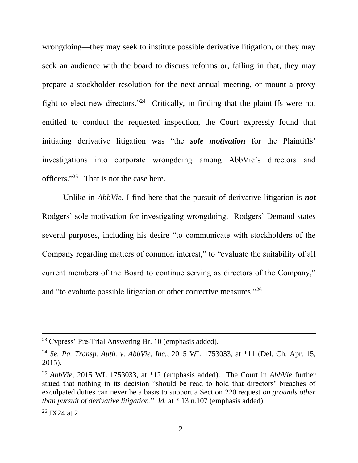wrongdoing—they may seek to institute possible derivative litigation, or they may seek an audience with the board to discuss reforms or, failing in that, they may prepare a stockholder resolution for the next annual meeting, or mount a proxy fight to elect new directors."<sup>24</sup> Critically, in finding that the plaintiffs were not entitled to conduct the requested inspection, the Court expressly found that initiating derivative litigation was "the *sole motivation* for the Plaintiffs' investigations into corporate wrongdoing among AbbVie's directors and officers." 25 That is not the case here.

Unlike in *AbbVie*, I find here that the pursuit of derivative litigation is *not* Rodgers' sole motivation for investigating wrongdoing. Rodgers' Demand states several purposes, including his desire "to communicate with stockholders of the Company regarding matters of common interest," to "evaluate the suitability of all current members of the Board to continue serving as directors of the Company," and "to evaluate possible litigation or other corrective measures."<sup>26</sup>

<sup>23</sup> Cypress' Pre-Trial Answering Br. 10 (emphasis added).

<sup>24</sup> *Se. Pa. Transp. Auth. v. AbbVie, Inc.*, 2015 WL 1753033, at \*11 (Del. Ch. Apr. 15, 2015).

<sup>25</sup> *AbbVie*, 2015 WL 1753033, at \*12 (emphasis added). The Court in *AbbVie* further stated that nothing in its decision "should be read to hold that directors' breaches of exculpated duties can never be a basis to support a Section 220 request *on grounds other than pursuit of derivative litigation*." *Id.* at \* 13 n.107 (emphasis added).

 $26$  JX24 at 2.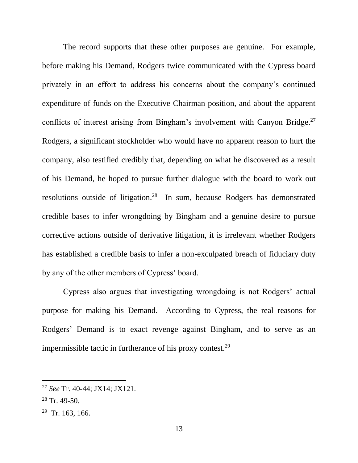The record supports that these other purposes are genuine. For example, before making his Demand, Rodgers twice communicated with the Cypress board privately in an effort to address his concerns about the company's continued expenditure of funds on the Executive Chairman position, and about the apparent conflicts of interest arising from Bingham's involvement with Canyon Bridge.<sup>27</sup> Rodgers, a significant stockholder who would have no apparent reason to hurt the company, also testified credibly that, depending on what he discovered as a result of his Demand, he hoped to pursue further dialogue with the board to work out resolutions outside of litigation.<sup>28</sup> In sum, because Rodgers has demonstrated credible bases to infer wrongdoing by Bingham and a genuine desire to pursue corrective actions outside of derivative litigation, it is irrelevant whether Rodgers has established a credible basis to infer a non-exculpated breach of fiduciary duty by any of the other members of Cypress' board.

Cypress also argues that investigating wrongdoing is not Rodgers' actual purpose for making his Demand. According to Cypress, the real reasons for Rodgers' Demand is to exact revenge against Bingham, and to serve as an impermissible tactic in furtherance of his proxy contest. $29$ 

<sup>27</sup> *See* Tr. 40-44; JX14; JX121.

 $28$  Tr. 49-50.

 $29$  Tr. 163, 166.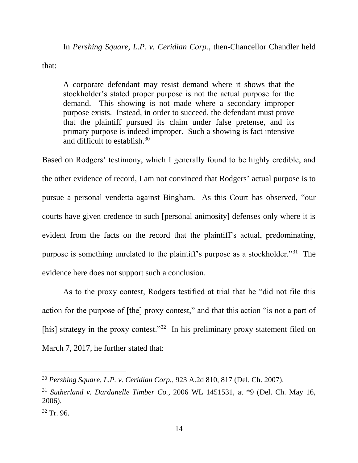In *Pershing Square, L.P. v. Ceridian Corp.*, then-Chancellor Chandler held

that:

A corporate defendant may resist demand where it shows that the stockholder's stated proper purpose is not the actual purpose for the demand. This showing is not made where a secondary improper purpose exists. Instead, in order to succeed, the defendant must prove that the plaintiff pursued its claim under false pretense, and its primary purpose is indeed improper. Such a showing is fact intensive and difficult to establish.<sup>30</sup>

Based on Rodgers' testimony, which I generally found to be highly credible, and the other evidence of record, I am not convinced that Rodgers' actual purpose is to pursue a personal vendetta against Bingham. As this Court has observed, "our courts have given credence to such [personal animosity] defenses only where it is evident from the facts on the record that the plaintiff's actual, predominating, purpose is something unrelated to the plaintiff's purpose as a stockholder."<sup>31</sup> The evidence here does not support such a conclusion.

As to the proxy contest, Rodgers testified at trial that he "did not file this action for the purpose of [the] proxy contest," and that this action "is not a part of [his] strategy in the proxy contest."<sup>32</sup> In his preliminary proxy statement filed on March 7, 2017, he further stated that:

<sup>30</sup> *Pershing Square, L.P. v. Ceridian Corp.*, 923 A.2d 810, 817 (Del. Ch. 2007).

<sup>31</sup> *Sutherland v. Dardanelle Timber Co.*, 2006 WL 1451531, at \*9 (Del. Ch. May 16, 2006).

 $32$  Tr. 96.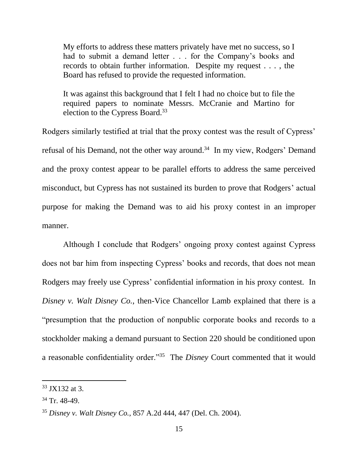My efforts to address these matters privately have met no success, so I had to submit a demand letter . . . for the Company's books and records to obtain further information. Despite my request . . . , the Board has refused to provide the requested information.

It was against this background that I felt I had no choice but to file the required papers to nominate Messrs. McCranie and Martino for election to the Cypress Board.<sup>33</sup>

Rodgers similarly testified at trial that the proxy contest was the result of Cypress' refusal of his Demand, not the other way around.<sup>34</sup> In my view, Rodgers' Demand and the proxy contest appear to be parallel efforts to address the same perceived misconduct, but Cypress has not sustained its burden to prove that Rodgers' actual purpose for making the Demand was to aid his proxy contest in an improper manner.

Although I conclude that Rodgers' ongoing proxy contest against Cypress does not bar him from inspecting Cypress' books and records, that does not mean Rodgers may freely use Cypress' confidential information in his proxy contest. In *Disney v. Walt Disney Co.*, then-Vice Chancellor Lamb explained that there is a "presumption that the production of nonpublic corporate books and records to a stockholder making a demand pursuant to Section 220 should be conditioned upon a reasonable confidentiality order."<sup>35</sup> The *Disney* Court commented that it would

<sup>33</sup> JX132 at 3.

 $34$  Tr. 48-49.

<sup>35</sup> *Disney v. Walt Disney Co.*, 857 A.2d 444, 447 (Del. Ch. 2004).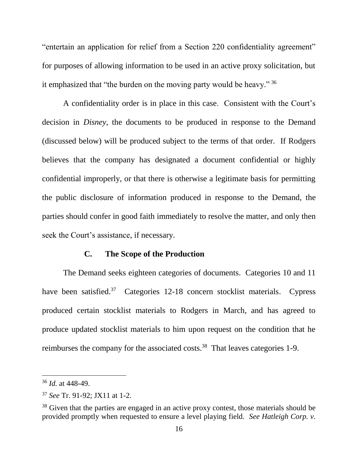"entertain an application for relief from a Section 220 confidentiality agreement" for purposes of allowing information to be used in an active proxy solicitation, but it emphasized that "the burden on the moving party would be heavy." <sup>36</sup>

A confidentiality order is in place in this case. Consistent with the Court's decision in *Disney*, the documents to be produced in response to the Demand (discussed below) will be produced subject to the terms of that order. If Rodgers believes that the company has designated a document confidential or highly confidential improperly, or that there is otherwise a legitimate basis for permitting the public disclosure of information produced in response to the Demand, the parties should confer in good faith immediately to resolve the matter, and only then seek the Court's assistance, if necessary.

### **C. The Scope of the Production**

The Demand seeks eighteen categories of documents. Categories 10 and 11 have been satisfied.<sup>37</sup> Categories 12-18 concern stocklist materials. Cypress produced certain stocklist materials to Rodgers in March, and has agreed to produce updated stocklist materials to him upon request on the condition that he reimburses the company for the associated costs.<sup>38</sup> That leaves categories 1-9.

<sup>36</sup> *Id.* at 448-49.

<sup>37</sup> *See* Tr. 91-92; JX11 at 1-2.

<sup>&</sup>lt;sup>38</sup> Given that the parties are engaged in an active proxy contest, those materials should be provided promptly when requested to ensure a level playing field. *See Hatleigh Corp. v.*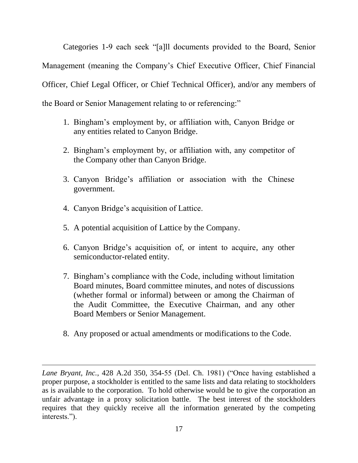Categories 1-9 each seek "[a]ll documents provided to the Board, Senior Management (meaning the Company's Chief Executive Officer, Chief Financial Officer, Chief Legal Officer, or Chief Technical Officer), and/or any members of the Board or Senior Management relating to or referencing:"

- 1. Bingham's employment by, or affiliation with, Canyon Bridge or any entities related to Canyon Bridge.
- 2. Bingham's employment by, or affiliation with, any competitor of the Company other than Canyon Bridge.
- 3. Canyon Bridge's affiliation or association with the Chinese government.
- 4. Canyon Bridge's acquisition of Lattice.

- 5. A potential acquisition of Lattice by the Company.
- 6. Canyon Bridge's acquisition of, or intent to acquire, any other semiconductor-related entity.
- 7. Bingham's compliance with the Code, including without limitation Board minutes, Board committee minutes, and notes of discussions (whether formal or informal) between or among the Chairman of the Audit Committee, the Executive Chairman, and any other Board Members or Senior Management.
- 8. Any proposed or actual amendments or modifications to the Code.

*Lane Bryant, Inc.*, 428 A.2d 350, 354-55 (Del. Ch. 1981) ("Once having established a proper purpose, a stockholder is entitled to the same lists and data relating to stockholders as is available to the corporation. To hold otherwise would be to give the corporation an unfair advantage in a proxy solicitation battle. The best interest of the stockholders requires that they quickly receive all the information generated by the competing interests.").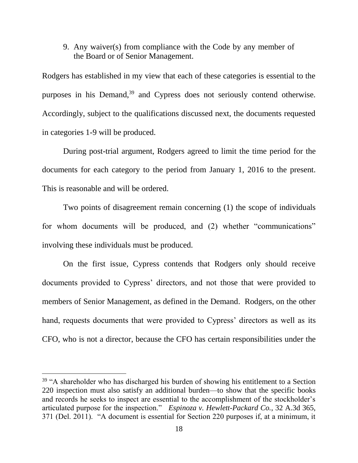9. Any waiver(s) from compliance with the Code by any member of the Board or of Senior Management.

Rodgers has established in my view that each of these categories is essential to the purposes in his Demand,<sup>39</sup> and Cypress does not seriously contend otherwise. Accordingly, subject to the qualifications discussed next, the documents requested in categories 1-9 will be produced.

During post-trial argument, Rodgers agreed to limit the time period for the documents for each category to the period from January 1, 2016 to the present. This is reasonable and will be ordered.

Two points of disagreement remain concerning (1) the scope of individuals for whom documents will be produced, and (2) whether "communications" involving these individuals must be produced.

On the first issue, Cypress contends that Rodgers only should receive documents provided to Cypress' directors, and not those that were provided to members of Senior Management, as defined in the Demand. Rodgers, on the other hand, requests documents that were provided to Cypress' directors as well as its CFO, who is not a director, because the CFO has certain responsibilities under the

 $39$  "A shareholder who has discharged his burden of showing his entitlement to a Section 220 inspection must also satisfy an additional burden—to show that the specific books and records he seeks to inspect are essential to the accomplishment of the stockholder's articulated purpose for the inspection." *Espinoza v. Hewlett-Packard Co.*, 32 A.3d 365, 371 (Del. 2011). "A document is essential for Section 220 purposes if, at a minimum, it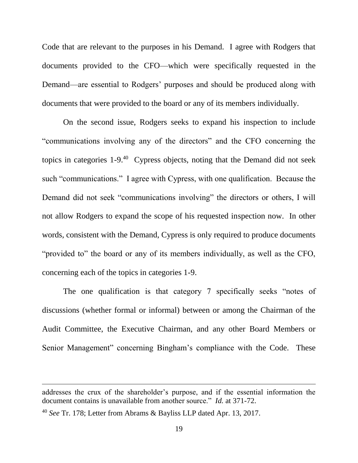Code that are relevant to the purposes in his Demand. I agree with Rodgers that documents provided to the CFO—which were specifically requested in the Demand—are essential to Rodgers' purposes and should be produced along with documents that were provided to the board or any of its members individually.

On the second issue, Rodgers seeks to expand his inspection to include "communications involving any of the directors" and the CFO concerning the topics in categories  $1-9.^{40}$  Cypress objects, noting that the Demand did not seek such "communications." I agree with Cypress, with one qualification. Because the Demand did not seek "communications involving" the directors or others, I will not allow Rodgers to expand the scope of his requested inspection now. In other words, consistent with the Demand, Cypress is only required to produce documents "provided to" the board or any of its members individually, as well as the CFO, concerning each of the topics in categories 1-9.

The one qualification is that category 7 specifically seeks "notes of discussions (whether formal or informal) between or among the Chairman of the Audit Committee, the Executive Chairman, and any other Board Members or Senior Management" concerning Bingham's compliance with the Code. These

addresses the crux of the shareholder's purpose, and if the essential information the document contains is unavailable from another source." *Id.* at 371-72.

<sup>40</sup> *See* Tr. 178; Letter from Abrams & Bayliss LLP dated Apr. 13, 2017.